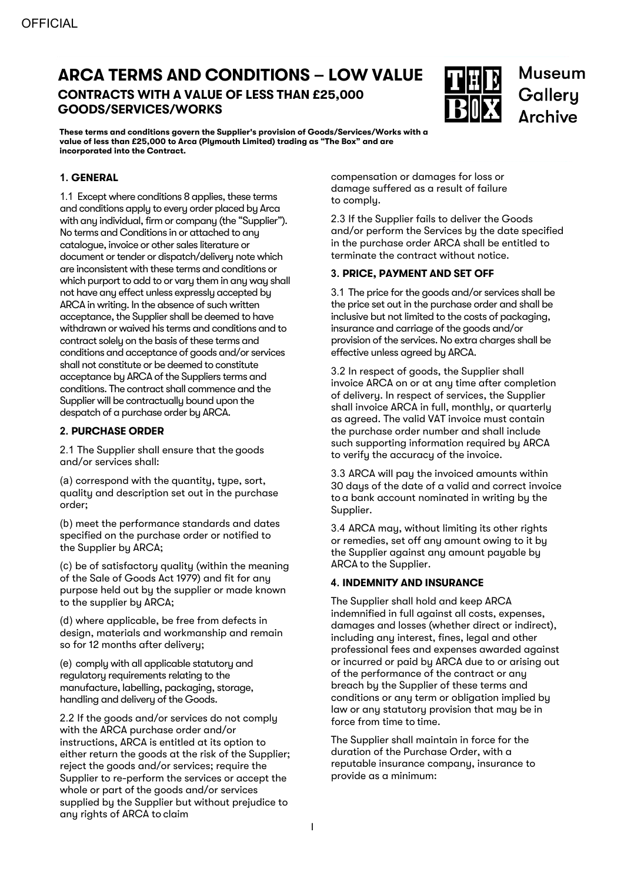# **ARCA TERMS AND CONDITIONS – LOW VALUE CONTRACTS WITH A VALUE OF LESS THAN £25,000**

**GOODS/SERVICES/WORKS**



**Museum** Gallery **Archive** 

**These terms and conditions govern the Supplier's provision of Goods/Services/Works with a value of less than £25,000 to Arca (Plymouth Limited) trading as "The Box" and are incorporated into the Contract.**

#### **1. GENERAL**

1.1 Except where conditions 8 applies, these terms and conditions apply to every order placed by Arca with any individual, firm or company (the "Supplier"). No terms and Conditions in or attached to any catalogue, invoice or other sales literature or document or tender or dispatch/delivery note which are inconsistent with these terms and conditions or which purport to add to or vary them in any way shall not have any effect unless expressly accepted by ARCA in writing. In the absence of such written acceptance, the Supplier shall be deemed to have withdrawn or waived his terms and conditions and to contract solely on the basis of these terms and conditions and acceptance of goods and/or services shall not constitute or be deemed to constitute acceptance by ARCA of the Suppliers terms and conditions. The contract shall commence and the Supplier will be contractually bound upon the despatch of a purchase order by ARCA.

# **2. PURCHASE ORDER**

2.1 The Supplier shall ensure that the goods and/or services shall:

(a) correspond with the quantity, type, sort, quality and description set out in the purchase order;

(b) meet the performance standards and dates specified on the purchase order or notified to the Supplier by ARCA;

(c) be of satisfactory quality (within the meaning of the Sale of Goods Act 1979) and fit for any purpose held out by the supplier or made known to the supplier by ARCA;

(d) where applicable, be free from defects in design, materials and workmanship and remain so for 12 months after delivery;

(e) comply with all applicable statutory and regulatory requirements relating to the manufacture, labelling, packaging, storage, handling and delivery of the Goods.

2.2 If the goods and/or services do not comply with the ARCA purchase order and/or instructions, ARCA is entitled at its option to either return the goods at the risk of the Supplier; reject the goods and/or services; require the Supplier to re-perform the services or accept the whole or part of the goods and/or services supplied by the Supplier but without prejudice to any rights of ARCA to claim

compensation or damages for loss or damage suffered as a result of failure to comply.

2.3 If the Supplier fails to deliver the Goods and/or perform the Services by the date specified in the purchase order ARCA shall be entitled to terminate the contract without notice.

#### **3. PRICE, PAYMENT AND SET OFF**

3.1 The price for the goods and/or services shall be the price set out in the purchase order and shall be inclusive but not limited to the costs of packaging, insurance and carriage of the goods and/or provision of the services. No extra charges shall be effective unless agreed by ARCA.

3.2 In respect of goods, the Supplier shall invoice ARCA on or at any time after completion of delivery. In respect of services, the Supplier shall invoice ARCA in full, monthly, or quarterly as agreed. The valid VAT invoice must contain the purchase order number and shall include such supporting information required by ARCA to verify the accuracy of the invoice.

3.3 ARCA will pay the invoiced amounts within 30 days of the date of a valid and correct invoice toa bank account nominated in writing by the Supplier.

3.4 ARCA may, without limiting its other rights or remedies, set off any amount owing to it by the Supplier against any amount payable by ARCA to the Supplier.

# **4. INDEMNITY AND INSURANCE**

The Supplier shall hold and keep ARCA indemnified in full against all costs, expenses, damages and losses (whether direct or indirect), including any interest, fines, legal and other professional fees and expenses awarded against or incurred or paid by ARCA due to or arising out of the performance of the contract or any breach by the Supplier of these terms and conditions or any term or obligation implied by law or any statutory provision that may be in force from time to time.

The Supplier shall maintain in force for the duration of the Purchase Order, with a reputable insurance company, insurance to provide as a minimum: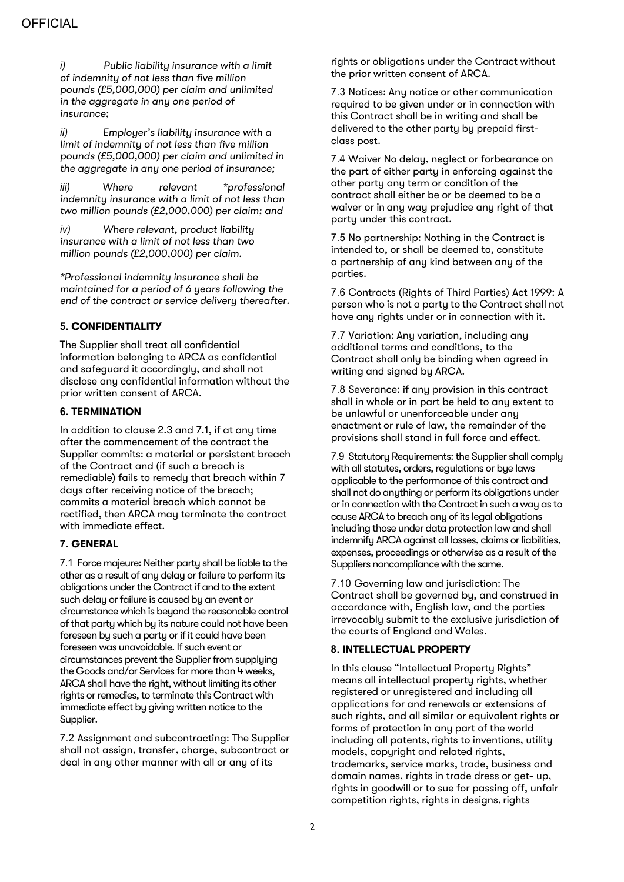*i) Public liability insurance with a limit of indemnity of not less than five million pounds (£5,000,000) per claim and unlimited in the aggregate in any one period of insurance;*

*ii) Employer's liability insurance with a limit of indemnity of not less than five million pounds (£5,000,000) per claim and unlimited in the aggregate in any one period of insurance;*

*iii) Where relevant \*professional indemnity insurance with a limit of not less than two million pounds (£2,000,000) per claim; and*

*iv) Where relevant, product liability insurance with a limit of not less than two million pounds (£2,000,000) per claim.*

*\*Professional indemnity insurance shall be maintained for a period of 6 years following the end of the contract or service delivery thereafter.*

# **5. CONFIDENTIALITY**

The Supplier shall treat all confidential information belonging to ARCA as confidential and safeguard it accordingly, and shall not disclose any confidential information without the prior written consent of ARCA.

#### **6. TERMINATION**

In addition to clause 2.3 and 7.1, if at any time after the commencement of the contract the Supplier commits: a material or persistent breach of the Contract and (if such a breach is remediable) fails to remedy that breach within 7 days after receiving notice of the breach; commits a material breach which cannot be rectified, then ARCA may terminate the contract with immediate effect.

# **7. GENERAL**

7.1 Force majeure: Neither party shall be liable to the other as a result of any delay or failure to perform its obligations under the Contract if and to the extent such delay or failure is caused by an event or circumstance which is beyond the reasonable control of that party which by its nature could not have been foreseen by such a party or if it could have been foreseen was unavoidable. If such event or circumstances prevent the Supplier from supplying the Goods and/or Services for more than 4 weeks, ARCA shall have the right, without limiting its other rights or remedies, to terminate this Contract with immediate effect by giving written notice to the Supplier.

7.2 Assignment and subcontracting: The Supplier shall not assign, transfer, charge, subcontract or deal in any other manner with all or any of its

rights or obligations under the Contract without the prior written consent of ARCA.

7.3 Notices: Any notice or other communication required to be given under or in connection with this Contract shall be in writing and shall be delivered to the other party by prepaid firstclass post.

7.4 Waiver No delay, neglect or forbearance on the part of either party in enforcing against the other party any term or condition of the contract shall either be or be deemed to be a waiver or in any way prejudice any right of that party under this contract.

7.5 No partnership: Nothing in the Contract is intended to, or shall be deemed to, constitute a partnership of any kind between any of the parties.

7.6 Contracts (Rights of Third Parties) Act 1999: A person who is not a party to the Contract shall not have any rights under or in connection with it.

7.7 Variation: Any variation, including any additional terms and conditions, to the Contract shall only be binding when agreed in writing and signed by ARCA.

7.8 Severance: if any provision in this contract shall in whole or in part be held to any extent to be unlawful or unenforceable under any enactment or rule of law, the remainder of the provisions shall stand in full force and effect.

7.9 Statutory Requirements: the Supplier shall comply with all statutes, orders, regulations or bye laws applicable to the performance of this contract and shall not do anything or perform its obligations under or in connection with the Contract in such a way as to cause ARCA to breach any of its legal obligations including those under data protection law and shall indemnify ARCA against all losses, claims or liabilities, expenses, proceedings or otherwise as a result of the Suppliers noncompliance with the same.

7.10 Governing law and jurisdiction: The Contract shall be governed by, and construed in accordance with, English law, and the parties irrevocably submit to the exclusive jurisdiction of the courts of England and Wales.

# **8. INTELLECTUAL PROPERTY**

In this clause "Intellectual Property Rights" means all intellectual property rights, whether registered or unregistered and including all applications for and renewals or extensions of such rights, and all similar or equivalent rights or forms of protection in any part of the world including all patents, rights to inventions, utility models, copyright and related rights, trademarks, service marks, trade, business and domain names, rights in trade dress or get- up, rights in goodwill or to sue for passing off, unfair competition rights, rights in designs, rights